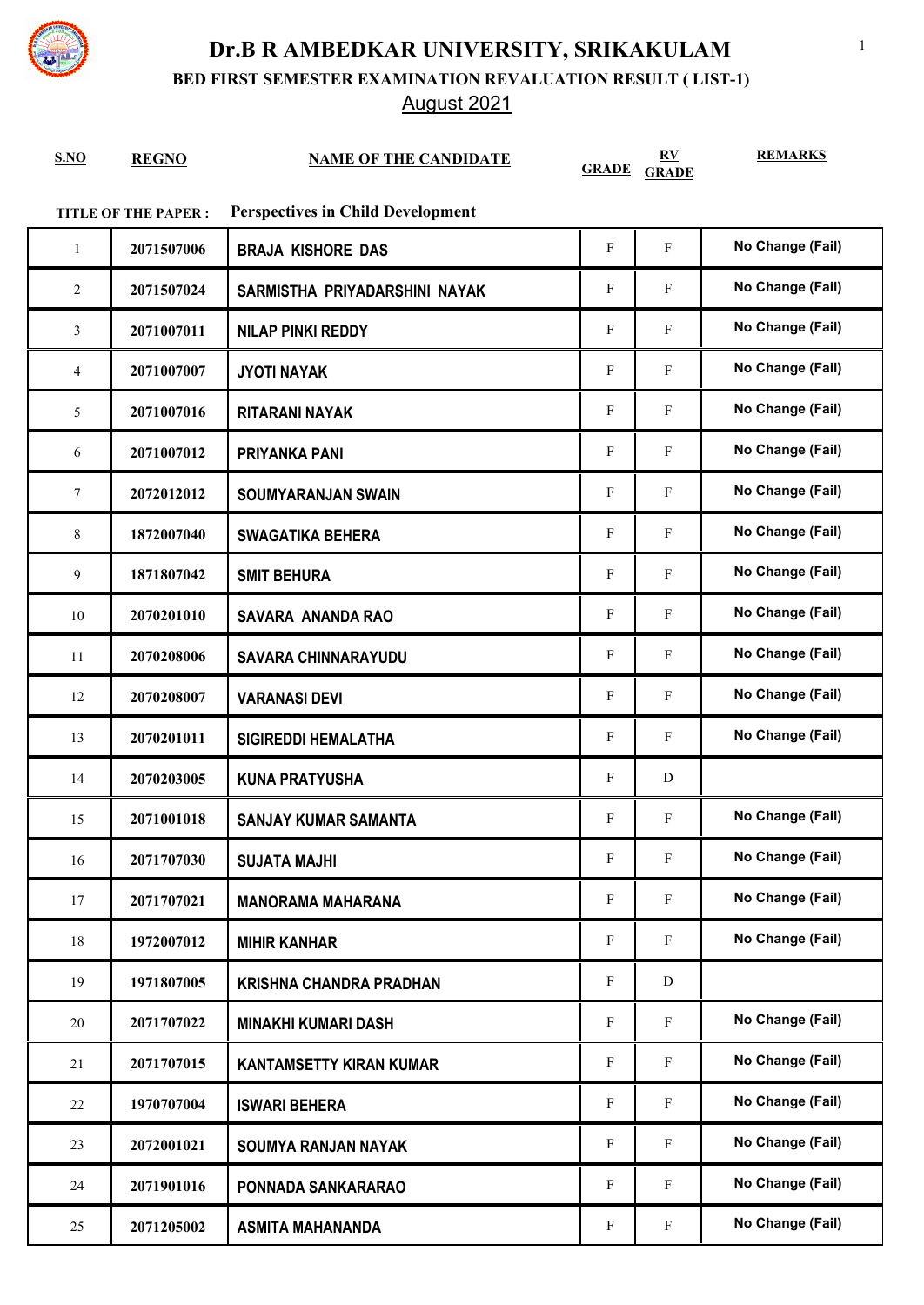

**BED FIRST SEMESTER EXAMINATION REVALUATION RESULT ( LIST-1)**

### August 2021

|             |              |                              | RV                 | <b>REMARKS</b> |
|-------------|--------------|------------------------------|--------------------|----------------|
| <u>S.NO</u> | <b>REGNO</b> | <b>NAME OF THE CANDIDATE</b> | <b>GRADE GRADE</b> |                |

#### **TITLE OF THE PAPER : Perspectives in Child Development**

| $\mathbf{1}$ | 2071507006 | <b>BRAJA KISHORE DAS</b>       | F | $\mathbf{F}$ | No Change (Fail) |
|--------------|------------|--------------------------------|---|--------------|------------------|
| 2            | 2071507024 | SARMISTHA PRIYADARSHINI NAYAK  | F | $\mathbf F$  | No Change (Fail) |
| 3            | 2071007011 | <b>NILAP PINKI REDDY</b>       | F | $\mathbf{F}$ | No Change (Fail) |
| 4            | 2071007007 | <b>JYOTI NAYAK</b>             | F | $\mathbf F$  | No Change (Fail) |
| 5            | 2071007016 | <b>RITARANI NAYAK</b>          | F | $\mathbf{F}$ | No Change (Fail) |
| 6            | 2071007012 | <b>PRIYANKA PANI</b>           | F | $\mathbf{F}$ | No Change (Fail) |
| $\tau$       | 2072012012 | <b>SOUMYARANJAN SWAIN</b>      | F | $\mathbf F$  | No Change (Fail) |
| 8            | 1872007040 | <b>SWAGATIKA BEHERA</b>        | F | $\mathbf{F}$ | No Change (Fail) |
| 9            | 1871807042 | <b>SMIT BEHURA</b>             | F | $\mathbf{F}$ | No Change (Fail) |
| 10           | 2070201010 | <b>SAVARA ANANDA RAO</b>       | F | F            | No Change (Fail) |
| 11           | 2070208006 | <b>SAVARA CHINNARAYUDU</b>     | F | $\mathbf{F}$ | No Change (Fail) |
| 12           | 2070208007 | <b>VARANASI DEVI</b>           | F | $\mathbf{F}$ | No Change (Fail) |
| 13           | 2070201011 | <b>SIGIREDDI HEMALATHA</b>     | F | $\mathbf{F}$ | No Change (Fail) |
| 14           | 2070203005 | <b>KUNA PRATYUSHA</b>          | F | D            |                  |
| 15           | 2071001018 | <b>SANJAY KUMAR SAMANTA</b>    | F | $\mathbf F$  | No Change (Fail) |
| 16           | 2071707030 | <b>SUJATA MAJHI</b>            | F | $\mathbf{F}$ | No Change (Fail) |
| 17           | 2071707021 | <b>MANORAMA MAHARANA</b>       | F | F            | No Change (Fail) |
| 18           | 1972007012 | <b>MIHIR KANHAR</b>            | F | F            | No Change (Fail) |
| 19           | 1971807005 | <b>KRISHNA CHANDRA PRADHAN</b> | F | D            |                  |
| $20\,$       | 2071707022 | <b>MINAKHI KUMARI DASH</b>     | F | $\mathbf F$  | No Change (Fail) |
| 21           | 2071707015 | <b>KANTAMSETTY KIRAN KUMAR</b> | F | $\mathbf{F}$ | No Change (Fail) |
| 22           | 1970707004 | <b>ISWARI BEHERA</b>           | F | F            | No Change (Fail) |
| 23           | 2072001021 | <b>SOUMYA RANJAN NAYAK</b>     | F | $\mathbf F$  | No Change (Fail) |
| 24           | 2071901016 | PONNADA SANKARARAO             | F | $\mathbf{F}$ | No Change (Fail) |
| 25           | 2071205002 | <b>ASMITA MAHANANDA</b>        | F | $\mathbf F$  | No Change (Fail) |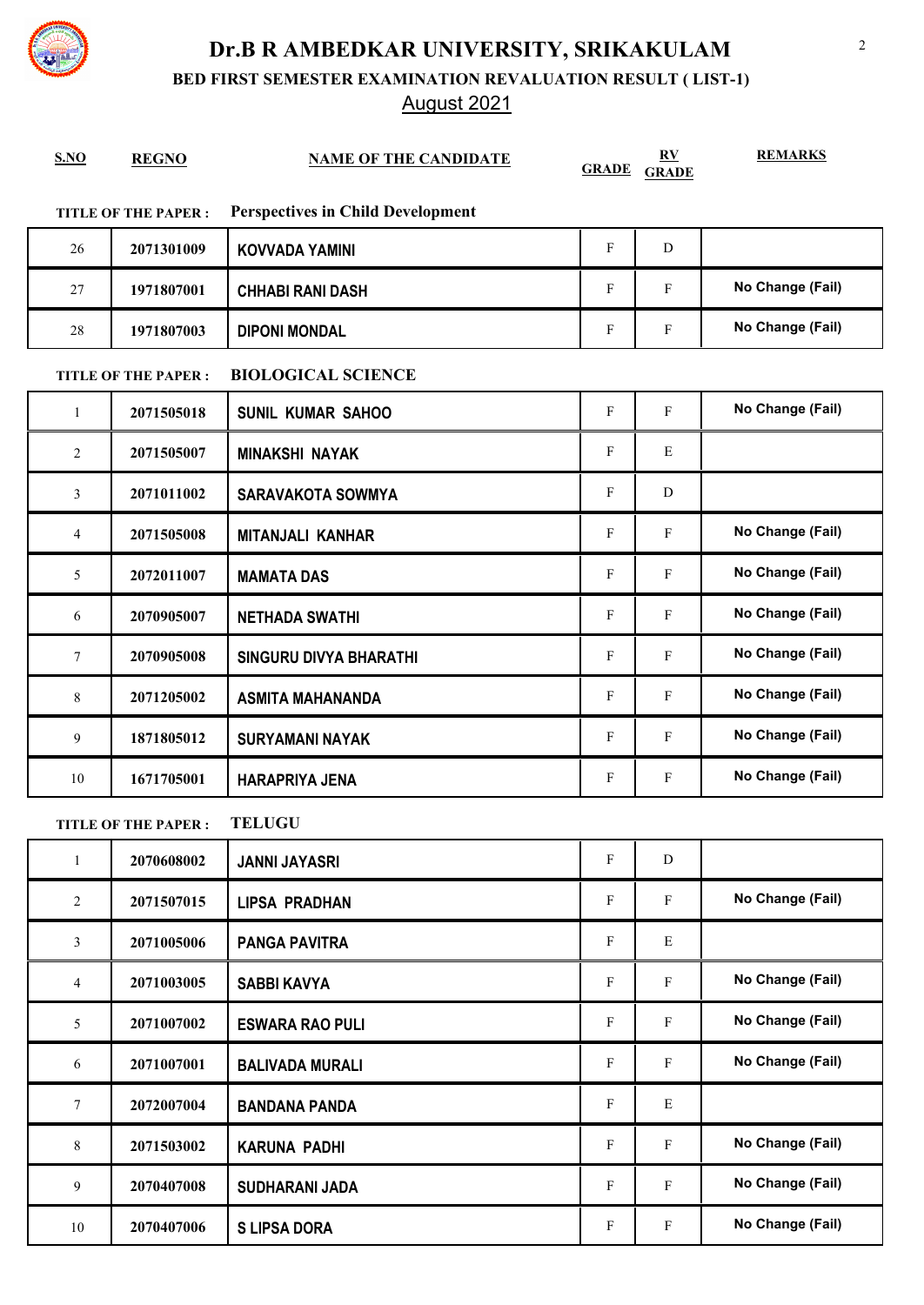

**BED FIRST SEMESTER EXAMINATION REVALUATION RESULT ( LIST-1)**

### August 2021

| S.NO           | <b>REGNO</b>               | <b>NAME OF THE CANDIDATE</b>             | <b>GRADE</b>              | $\mathbf{R} \mathbf{V}$<br><b>GRADE</b> | <b>REMARKS</b>   |
|----------------|----------------------------|------------------------------------------|---------------------------|-----------------------------------------|------------------|
|                | <b>TITLE OF THE PAPER:</b> | <b>Perspectives in Child Development</b> |                           |                                         |                  |
| 26             | 2071301009                 | <b>KOVVADA YAMINI</b>                    | $\mathbf F$               | ${\bf D}$                               |                  |
| 27             | 1971807001                 | <b>CHHABI RANI DASH</b>                  | $\boldsymbol{\mathrm{F}}$ | F                                       | No Change (Fail) |
| 28             | 1971807003                 | <b>DIPONI MONDAL</b>                     | F                         | F                                       | No Change (Fail) |
|                | <b>TITLE OF THE PAPER:</b> | <b>BIOLOGICAL SCIENCE</b>                |                           |                                         |                  |
| $\mathbf{1}$   | 2071505018                 | <b>SUNIL KUMAR SAHOO</b>                 | $\mathbf F$               | F                                       | No Change (Fail) |
| $\overline{2}$ | 2071505007                 | <b>MINAKSHI NAYAK</b>                    | F                         | E                                       |                  |
| 3              | 2071011002                 | <b>SARAVAKOTA SOWMYA</b>                 | F                         | D                                       |                  |
| 4              | 2071505008                 | <b>MITANJALI KANHAR</b>                  | F                         | F                                       | No Change (Fail) |
| 5              | 2072011007                 | <b>MAMATA DAS</b>                        | F                         | F                                       | No Change (Fail) |
| 6              | 2070905007                 | <b>NETHADA SWATHI</b>                    | F                         | $\mathbf{F}$                            | No Change (Fail) |
| 7              | 2070905008                 | <b>SINGURU DIVYA BHARATHI</b>            | F                         | $\mathbf F$                             | No Change (Fail) |
| 8              | 2071205002                 | <b>ASMITA MAHANANDA</b>                  | $\mathbf F$               | F                                       | No Change (Fail) |
| 9              | 1871805012                 | <b>SURYAMANI NAYAK</b>                   | F                         | $\mathbf F$                             | No Change (Fail) |
| 10             | 1671705001                 | <b>HARAPRIYA JENA</b>                    | F                         | F                                       | No Change (Fail) |
|                | <b>TITLE OF THE PAPER:</b> | <b>TELUGU</b>                            |                           |                                         |                  |
| $\mathbf{1}$   | 2070608002                 | <b>JANNI JAYASRI</b>                     | F                         | D                                       |                  |
| $\sqrt{2}$     | 2071507015                 | <b>LIPSA PRADHAN</b>                     | F                         | $\mathbf{F}$                            | No Change (Fail) |
| 3              | 2071005006                 | <b>PANGA PAVITRA</b>                     | $\mathbf{F}$              | Ε                                       |                  |
| $\overline{4}$ | 2071003005                 | <b>SABBI KAVYA</b>                       | F                         | $\mathbf{F}$                            | No Change (Fail) |
| 5              | 2071007002                 | <b>ESWARA RAO PULI</b>                   | F                         | F                                       | No Change (Fail) |
| 6              | 2071007001                 | <b>BALIVADA MURALI</b>                   | F                         | F                                       | No Change (Fail) |
| $\tau$         | 2072007004                 | <b>BANDANA PANDA</b>                     | $\mathbf{F}$              | Ε                                       |                  |
| 8              | 2071503002                 | <b>KARUNA PADHI</b>                      | F                         | $\mathbf{F}$                            | No Change (Fail) |
| 9              | 2070407008                 | <b>SUDHARANI JADA</b>                    | F                         | F                                       | No Change (Fail) |
| $10\,$         | 2070407006                 | <b>S LIPSA DORA</b>                      | ${\bf F}$                 | F                                       | No Change (Fail) |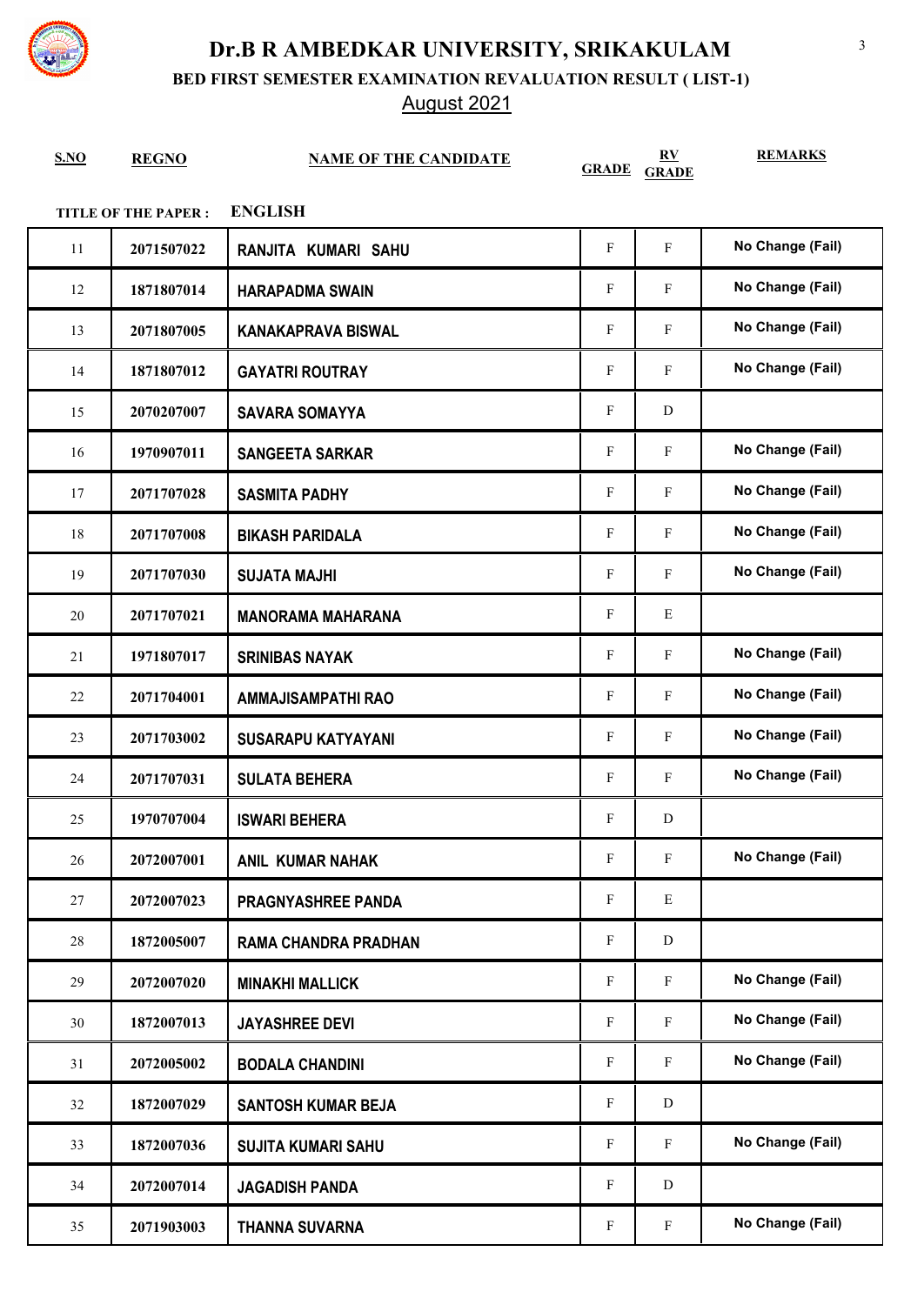

**BED FIRST SEMESTER EXAMINATION REVALUATION RESULT ( LIST-1)**

August 2021

| S.NO                                         | <b>REGNO</b> | <b>NAME OF THE CANDIDATE</b> | <b>GRADE</b>              | $\underline{RV}$<br><b>GRADE</b> | <b>REMARKS</b>   |  |
|----------------------------------------------|--------------|------------------------------|---------------------------|----------------------------------|------------------|--|
| <b>ENGLISH</b><br><b>TITLE OF THE PAPER:</b> |              |                              |                           |                                  |                  |  |
| 11                                           | 2071507022   | RANJITA KUMARI SAHU          | $\mathbf F$               | $\mathbf{F}$                     | No Change (Fail) |  |
| 12                                           | 1871807014   | <b>HARAPADMA SWAIN</b>       | F                         | $\mathbf{F}$                     | No Change (Fail) |  |
| 13                                           | 2071807005   | <b>KANAKAPRAVA BISWAL</b>    | $\boldsymbol{\mathrm{F}}$ | $\mathbf{F}$                     | No Change (Fail) |  |
| 14                                           | 1871807012   | <b>GAYATRI ROUTRAY</b>       | $\boldsymbol{\mathrm{F}}$ | $\mathbf{F}$                     | No Change (Fail) |  |
| 15                                           | 2070207007   | <b>SAVARA SOMAYYA</b>        | $\boldsymbol{\mathrm{F}}$ | D                                |                  |  |
| 16                                           | 1970907011   | <b>SANGEETA SARKAR</b>       | $\mathbf F$               | $\mathbf{F}$                     | No Change (Fail) |  |
| 17                                           | 2071707028   | <b>SASMITA PADHY</b>         | F                         | $\mathbf{F}$                     | No Change (Fail) |  |
| 18                                           | 2071707008   | <b>BIKASH PARIDALA</b>       | $\mathbf{F}$              | $\mathbf{F}$                     | No Change (Fail) |  |
| 19                                           | 2071707030   | <b>SUJATA MAJHI</b>          | $\mathbf F$               | $\mathbf{F}$                     | No Change (Fail) |  |
| 20                                           | 2071707021   | <b>MANORAMA MAHARANA</b>     | $\boldsymbol{\mathrm{F}}$ | E                                |                  |  |
| 21                                           | 1971807017   | <b>SRINIBAS NAYAK</b>        | $\boldsymbol{\mathrm{F}}$ | $\mathbf F$                      | No Change (Fail) |  |
| 22                                           | 2071704001   | <b>AMMAJISAMPATHI RAO</b>    | $\mathbf F$               | $\mathbf F$                      | No Change (Fail) |  |
| 23                                           | 2071703002   | <b>SUSARAPU KATYAYANI</b>    | $\mathbf{F}$              | $\mathbf{F}$                     | No Change (Fail) |  |
| 24                                           | 2071707031   | <b>SULATA BEHERA</b>         | $\mathbf F$               | $\mathbf{F}$                     | No Change (Fail) |  |
| 25                                           | 1970707004   | <b>ISWARI BEHERA</b>         | F                         | D                                |                  |  |
| 26                                           | 2072007001   | <b>ANIL KUMAR NAHAK</b>      | F                         | $\mathbf{F}$                     | No Change (Fail) |  |
| 27                                           | 2072007023   | <b>PRAGNYASHREE PANDA</b>    | $\mathbf F$               | E                                |                  |  |
| 28                                           | 1872005007   | <b>RAMA CHANDRA PRADHAN</b>  | $\mathbf{F}$              | D                                |                  |  |
| 29                                           | 2072007020   | <b>MINAKHI MALLICK</b>       | $\mathbf F$               | $\mathbf F$                      | No Change (Fail) |  |
| 30                                           | 1872007013   | <b>JAYASHREE DEVI</b>        | ${\bf F}$                 | $\mathbf{F}$                     | No Change (Fail) |  |
| 31                                           | 2072005002   | <b>BODALA CHANDINI</b>       | $\mathbf{F}$              | $\mathbf{F}$                     | No Change (Fail) |  |
| 32                                           | 1872007029   | <b>SANTOSH KUMAR BEJA</b>    | $\boldsymbol{\mathrm{F}}$ | D                                |                  |  |
| 33                                           | 1872007036   | <b>SUJITA KUMARI SAHU</b>    | ${\bf F}$                 | $\mathbf{F}$                     | No Change (Fail) |  |
| 34                                           | 2072007014   | <b>JAGADISH PANDA</b>        | F                         | D                                |                  |  |
| 35                                           | 2071903003   | <b>THANNA SUVARNA</b>        | ${\bf F}$                 | $\mathbf F$                      | No Change (Fail) |  |